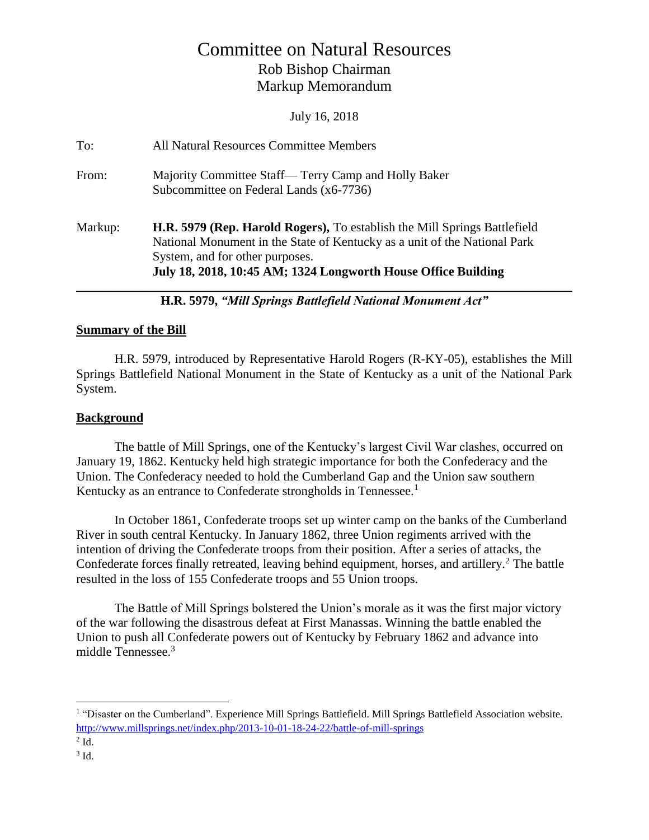# Committee on Natural Resources Rob Bishop Chairman Markup Memorandum

July 16, 2018

| To:     | All Natural Resources Committee Members                                                                                                                                                                                                                    |
|---------|------------------------------------------------------------------------------------------------------------------------------------------------------------------------------------------------------------------------------------------------------------|
| From:   | Majority Committee Staff— Terry Camp and Holly Baker<br>Subcommittee on Federal Lands (x6-7736)                                                                                                                                                            |
| Markup: | H.R. 5979 (Rep. Harold Rogers), To establish the Mill Springs Battlefield<br>National Monument in the State of Kentucky as a unit of the National Park<br>System, and for other purposes.<br>July 18, 2018, 10:45 AM; 1324 Longworth House Office Building |

**H.R. 5979,** *"Mill Springs Battlefield National Monument Act"*

#### **Summary of the Bill**

H.R. 5979, introduced by Representative Harold Rogers (R-KY-05), establishes the Mill Springs Battlefield National Monument in the State of Kentucky as a unit of the National Park System.

#### **Background**

The battle of Mill Springs, one of the Kentucky's largest Civil War clashes, occurred on January 19, 1862. Kentucky held high strategic importance for both the Confederacy and the Union. The Confederacy needed to hold the Cumberland Gap and the Union saw southern Kentucky as an entrance to Confederate strongholds in Tennessee.<sup>1</sup>

In October 1861, Confederate troops set up winter camp on the banks of the Cumberland River in south central Kentucky. In January 1862, three Union regiments arrived with the intention of driving the Confederate troops from their position. After a series of attacks, the Confederate forces finally retreated, leaving behind equipment, horses, and artillery.<sup>2</sup> The battle resulted in the loss of 155 Confederate troops and 55 Union troops.

The Battle of Mill Springs bolstered the Union's morale as it was the first major victory of the war following the disastrous defeat at First Manassas. Winning the battle enabled the Union to push all Confederate powers out of Kentucky by February 1862 and advance into middle Tennessee. 3

 $\overline{a}$ 

<sup>&</sup>lt;sup>1</sup> "Disaster on the Cumberland". Experience Mill Springs Battlefield. Mill Springs Battlefield Association website. <http://www.millsprings.net/index.php/2013-10-01-18-24-22/battle-of-mill-springs>

 $2$  Id.

 $3$  Id.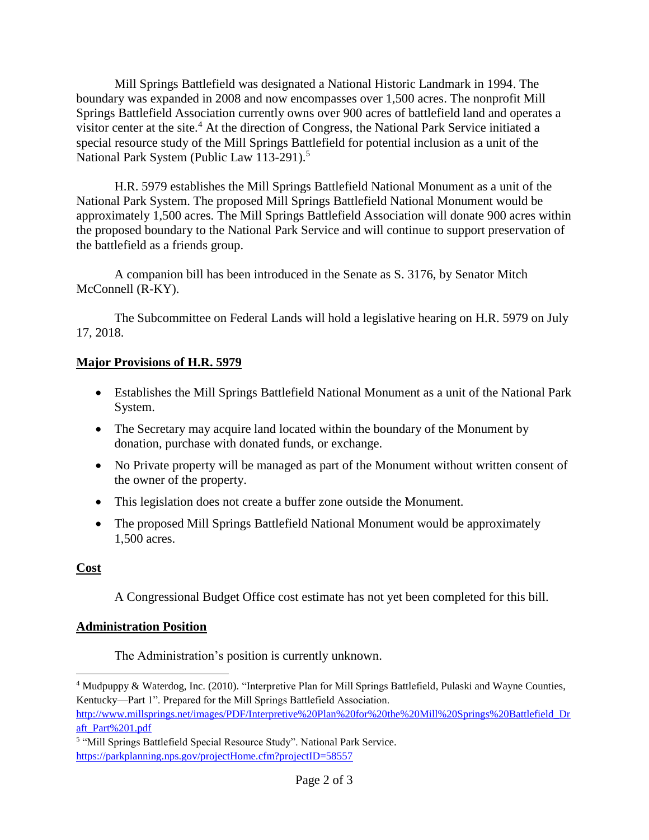Mill Springs Battlefield was designated a National Historic Landmark in 1994. The boundary was expanded in 2008 and now encompasses over 1,500 acres. The nonprofit Mill Springs Battlefield Association currently owns over 900 acres of battlefield land and operates a visitor center at the site. <sup>4</sup> At the direction of Congress, the National Park Service initiated a special resource study of the Mill Springs Battlefield for potential inclusion as a unit of the National Park System (Public Law 113-291).<sup>5</sup>

H.R. 5979 establishes the Mill Springs Battlefield National Monument as a unit of the National Park System. The proposed Mill Springs Battlefield National Monument would be approximately 1,500 acres. The Mill Springs Battlefield Association will donate 900 acres within the proposed boundary to the National Park Service and will continue to support preservation of the battlefield as a friends group.

A companion bill has been introduced in the Senate as S. 3176, by Senator Mitch McConnell (R-KY).

The Subcommittee on Federal Lands will hold a legislative hearing on H.R. 5979 on July 17, 2018.

#### **Major Provisions of H.R. 5979**

- Establishes the Mill Springs Battlefield National Monument as a unit of the National Park System.
- The Secretary may acquire land located within the boundary of the Monument by donation, purchase with donated funds, or exchange.
- No Private property will be managed as part of the Monument without written consent of the owner of the property.
- This legislation does not create a buffer zone outside the Monument.
- The proposed Mill Springs Battlefield National Monument would be approximately 1,500 acres.

### **Cost**

A Congressional Budget Office cost estimate has not yet been completed for this bill.

### **Administration Position**

The Administration's position is currently unknown.

 $\overline{a}$ <sup>4</sup> Mudpuppy & Waterdog, Inc. (2010). "Interpretive Plan for Mill Springs Battlefield, Pulaski and Wayne Counties, Kentucky—Part 1". Prepared for the Mill Springs Battlefield Association.

[http://www.millsprings.net/images/PDF/Interpretive%20Plan%20for%20the%20Mill%20Springs%20Battlefield\\_Dr](http://www.millsprings.net/images/PDF/Interpretive%20Plan%20for%20the%20Mill%20Springs%20Battlefield_Draft_Part%201.pdf) [aft\\_Part%201.pdf](http://www.millsprings.net/images/PDF/Interpretive%20Plan%20for%20the%20Mill%20Springs%20Battlefield_Draft_Part%201.pdf)

<sup>&</sup>lt;sup>5</sup> "Mill Springs Battlefield Special Resource Study". National Park Service. <https://parkplanning.nps.gov/projectHome.cfm?projectID=58557>